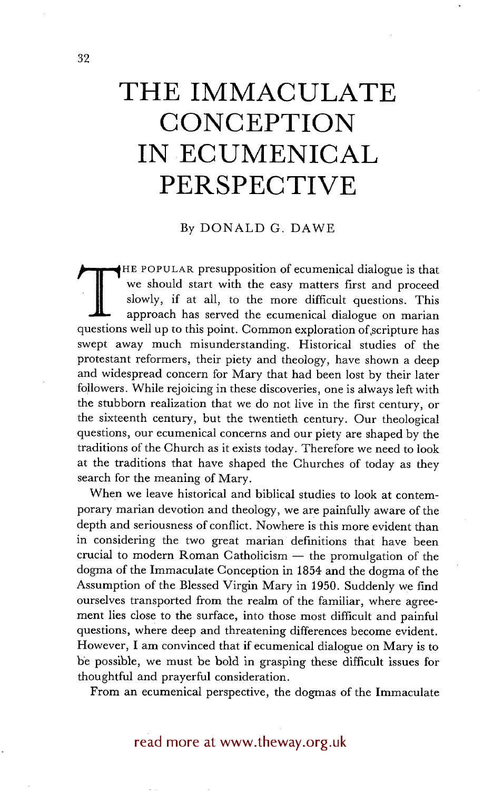# **THE IMMACULATE CONCEPTION IN ECUMENICAL PERSPECTIVE**

# By DONALD G. DAWE

**THE POPULAR presupposition of ecumenical dialogue is that we should start with the easy matters first and proceed** slowly, if at all, to the more difficult questions. This approach has served the ecumenical dialogue on marian questions well up to this point. Common exploration of scripture has swept away much misunderstanding. Historical studies of the protestant reformers, their piety and theology, have shown a deep and widespread concern for Mary that had been lost by their later followers. While rejoicing in these discoveries, one is always left with the stubborn realization that we do not live in the first century, or the sixteenth century, but the twentieth century. Our theological questions, our ecumenical concerns and our piety are shaped by the traditions of the Church as it exists today. Therefore we need to look at the traditions that have shaped the Churches of today as they search for the meaning of Mary.

When we leave historical and biblical studies to look at contemporary marian devotion and theology, we are painfully aware of the depth and seriousness of conflict. Nowhere is this more evident than in considering the two great marian definitions that have been  $crucial$  to modern Roman Catholicism  $-$  the promulgation of the dogma of the Immaculate Conception in 1854 and the dogma of the Assumption of the Blessed Virgin Mary in 1950. Suddenly we find ourselves transported from the realm of the familiar, where agreement lies close to the surface, into those most difficult and painful questions, where deep and threatening differences become evident. However, I am convinced that if ecumenical dialogue on Mary is to be possible, we must be bold in grasping these difficult issues for thoughtful and prayerful consideration.

From an ecumenical perspective, the dogmas of the Immaculate

read more at www.theway.org.uk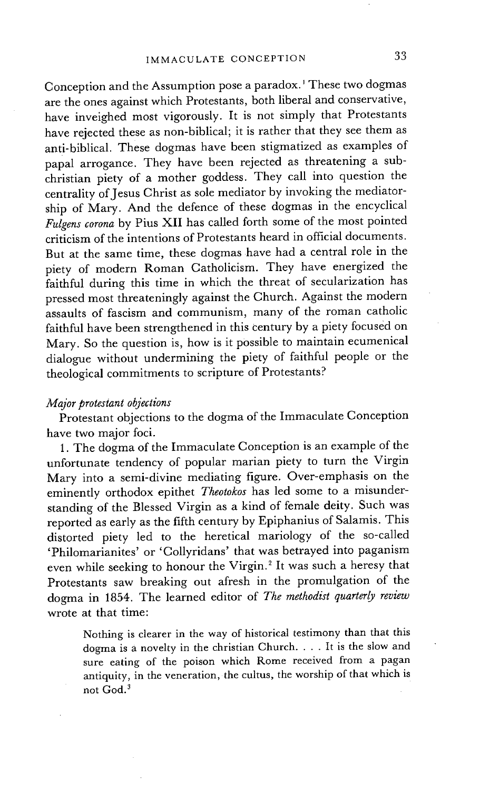Conception and the Assumption pose a paradox.<sup>1</sup> These two dogmas are the ones against which Protestants, both liberal and conservative, have inveighed most vigorously. It is not simply that Protestants have rejected these as non-biblical; it is rather that they see them as anti-biblical. These dogmas have been stigmatized as examples of papal arrogance. They have been rejected as threatening a subchristian piety of a mother goddess. They call into question the centrality of Jesus Christ as sole mediator by invoking the mediatorship of Mary. And the defence of these dogmas in the encyclical *Fulgens corona* by Pius XII has called forth some of the most pointed criticism of the intentions of Protestants heard in official documents. But at the same time, these dogmas have had a central role in the piety of modern Roman Catholicism. They have energized the faithful during this time in which the threat of secularization has pressed most threateningly against the Church. Against the modern assaults of fascism and communism, many of the roman catholic faithful have been strengthened in this century by a piety focused on Mary. So the question is, how is it possible to maintain ecumenical dialogue without undermining the piety of faithful people or the theological commitments to scripture of Protestants?

## *Major protestant objections*

Protestant objections to the dogma of the Immaculate Conception have two major foci.

1. The dogma of the Immaculate Conception is an example of the unfortunate tendency of popular marian piety to turn the Virgin Mary into a semi-divine mediating figure. Over-emphasis on the eminently orthodox epithet *Theotokos* has led some to a misunderstanding of the Blessed Virgin as a kind of female deity. Such was reported as early as the fifth century by Epiphanius of Salamis. This distorted piety led to the heretical mariology of the so-called 'Philomarianites' or 'Collyridans' that was betrayed into paganism even while seeking to honour the Virgin. 2 It was such a heresy that Protestants saw breaking out afresh in the promulgation of the dogma in 1854. The learned editor of *The methodist quarterly review*  wrote at that time:

Nothing is clearer in the way of historical testimony than that this dogma is a novelty in the christian Church .... It is the slow and sure eating of the poison which Rome received from a pagan antiquity, in the veneration, the cultus, the worship of that which is not God. 3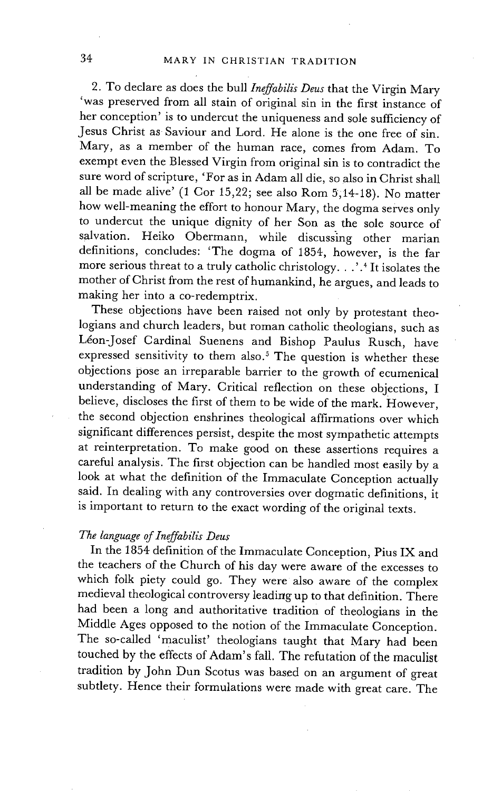2. To declare as does the bull *Ineffabilis Deus* that the Virgin Mary 'was preserved from all stain of original sin in the first instance of her conception' is to undercut the uniqueness and sole sufficiency of Jesus Christ as Saviour and Lord. He alone is the one free of sin. Mary, as a member of the human race, comes from Adam. To exempt even the Blessed Virgin from original sin is to contradict the sure word of scripture, 'For as in Adam all die, so also in Christ shall all be made alive'  $(1$  Cor 15,22; see also Rom 5,14-18). No matter how well-meaning the effort to honour Mary, the dogma serves only to undercut the unique dignity of her Son as the sole source of salvation. Heiko Obermann, while discussing other marian definitions, concludes: 'The dogma of 1854, however, is the far more serious threat to a truly catholic christology...'.4 It isolates the mother of Christ from the rest of humankind, he argues, and leads to making her into a co-redemptrix.

These objections have been raised not only by protestant theologians and church leaders, but roman catholic theologians, such as Léon-Josef Cardinal Suenens and Bishop Paulus Rusch, have expressed sensitivity to them also? The question is whether these objections pose an irreparable barrier to the growth of ecumenical understanding of Mary. Critical reflection on these objections, I believe, discloses the first of them to be wide of the mark. However, the second objection enshrines theological affirmations over which significant differences persist, despite the most sympathetic attempts at reinterpretation. To make good on these assertions requires a careful analysis. The first objection can be handled most easily by a look at what the definition of the Immaculate Conception actually said. In dealing with any controversies over dogmatic definitions, it is important to return to the exact wording of the original texts.

#### *The language of Ineffabilis Deus*

In the 1854 definition of the Immaculate Conception, Pius IX and the teachers of the Church of his day were aware of the excesses to which folk piety could go. They were also aware of the complex medieval theological controversy leading up to that definition. There had been a long and authoritative tradition of theologians in the Middle Ages opposed to the notion of the Immaculate Conception. The so-called 'maculist' theologians taught that Mary had been touched by the effects of Adam's fall. The refutation of the maculist tradition by John Dun Scotus was based on an argument of great subtlety. Hence their formulations were made with great care. The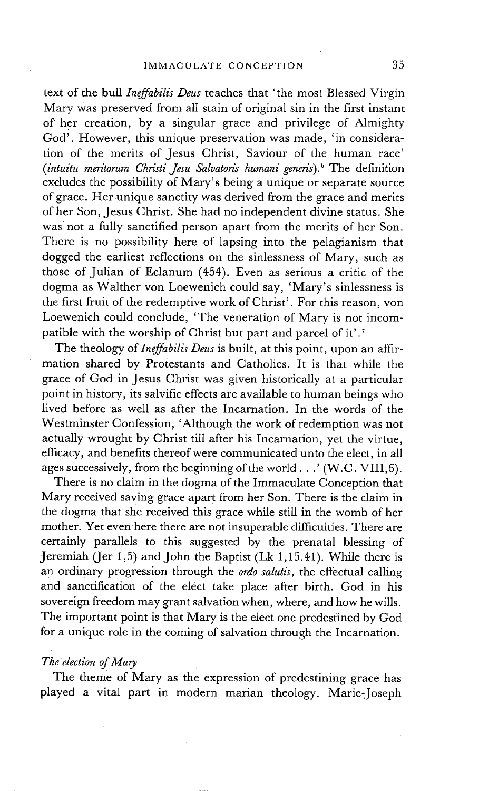text of the bull *Ineffabilis Deus* teaches that 'the most Blessed Virgin Mary was preserved from all stain of original sin in the first instant of her creation, by a singular grace and privilege of Almighty God'. However, this unique preservation was made, 'in consideration of the merits of Jesus Christ, Saviour of the human race' *(intuitu meritorum Christi Jesu Salvatoris hurnani generis). 6* The definition excludes the possibility of Mary's being a unique or separate source of grace. Her unique sanctity was derived from the grace and merits of her Son, Jesus Christ. She had no independent divine status. She was not a fully sanctified person apart from the merits of her Son. There is no possibility here of lapsing into the pelagianism that dogged the earliest reflections on the sinlessness of Mary, such as those of Julian of Eclanum (454). Even as serious a critic of the dogma as Walther von Loewenich could say, 'Mary's sinlessness is the first fruit of the redemptive work of Christ'. For this reason, von Loewenich could conclude, 'The veneration of Mary is not incompatible with the worship of Christ but part and parcel of it'.<sup>7</sup>

The theology of *Ineffabilis Deus* is built, at this point, upon an affirmation shared by Protestants and Catholics. It is that while the grace of God in Jesus Christ was given historically at a particular point in history, its salvific effects are available to human beings who lived before as well as after the Incarnation. In the words of the Westminster Confession, 'Although the work of redemption was not actually wrought by Christ till after his Incarnation, yet the virtue, efficacy, and benefits thereof were communicated unto the elect, in all ages successively, from the beginning of the world...' (W.C. VIII, 6).

There is no claim in the dogma of the Immaculate Conception that Mary received saving grace apart from her Son. There is the claim in the dogma that she received this grace while still in the womb of her mother. Yet even here there are not insuperable difficulties. There are certainly parallels to this suggested by the prenatal blessing of Jeremiah (Jer 1,5) and John the Baptist (Lk 1,15.41). While there is an ordinary progression through the *ordo salutis,* the effectual calling and sanctification of the elect take place after birth. God in his sovereign freedom may grant salvation when, where, and how he wills. The important point is that Mary is the elect one predestined by God for a unique role in the coming of salvation through the Incarnation.

### *The election of Mary*

The theme of Mary as the expression of predestining grace has played a vital part in modern marian theology. Marie-Joseph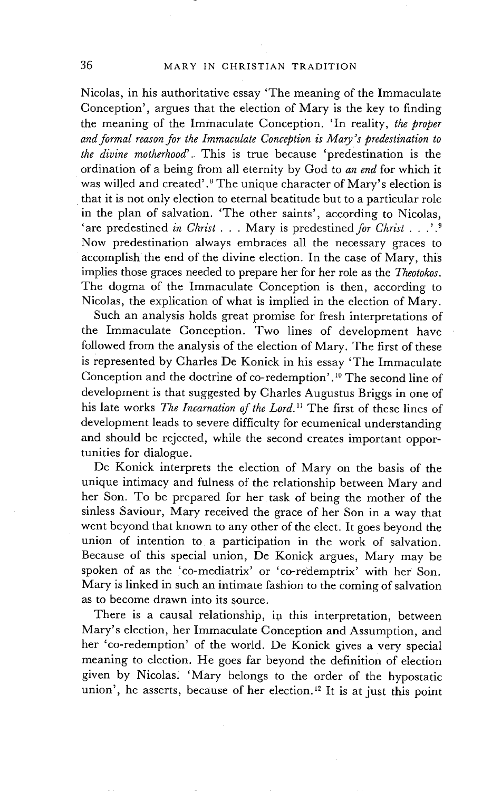Nicolas, in his authoritative essay 'The meaning of the Immaculate Conception', argues that the election of Mary is the key to finding the meaning of the Immaculate Conception. 'In reality, *the proper and formal reason for the Immaculate Conception is Mary's predestination to the divine motherhood'.* This is true because 'predestination is the ordination of a being from all eternity by God to *an end* for which it was willed and created'. $^8$  The unique character of Mary's election is that it is not only election to eternal beatitude but to a particular role in the plan of salvation. "The other saints', according to Nicolas, <sup>'</sup>are predestined *in Christ* . . . Mary is predestined *for Christ* . . .'.<sup>9</sup> Now predestination always embraces all the necessary graces to accomplish the end of the divine election. In the case of Mary, this implies those graces needed to prepare her for her role as the *Theotokos.*  The dogma of the Immaculate Conception is then, according to Nicolas, the explication of what is implied in the election of Mary.

Such an analysis holds great promise for fresh interpretations of the Immaculate Conception. Two lines of development have followed from the analysis of the election of Mary. The first of these is represented by Charles De Konick in his essay 'The Immaculate Conception and the doctrine of co-redemption'.1° The second line of development is that suggested by Charles Augustus Briggs in one of his late works *The Incarnation of the Lord*.<sup>11</sup> The first of these lines of development leads to severe difficulty for ecumenical understanding and should be rejected, while the second creates important opportunities for dialogue.

De Konick interprets the election of Mary on the basis of the unique intimacy and fulness of the relationship between Mary and her Son. To be prepared for her task of being the mother of the sinless Saviour, Mary received the grace of her Son in a way that went beyond that known to any other of the elect. It goes beyond the union of intention to a participation in the work of salvation. Because of this special union, De Konick argues, Mary may be spoken of as the 'co-mediatrix' or 'co-redemptrix' with her Son. Mary is linked in such an intimate fashion to the coming of salvation as to become drawn into its source.

There is a causal relationship, in this interpretation, between Mary's election, her Immaculate Conception and Assumption, and her 'co-redemption' of the world. De Konick gives a very special meaning to election. He goes far beyond the definition of election given by Nicolas. 'Mary belongs to the order of the hypostatic union', he asserts, because of her election.<sup>12</sup> It is at just this point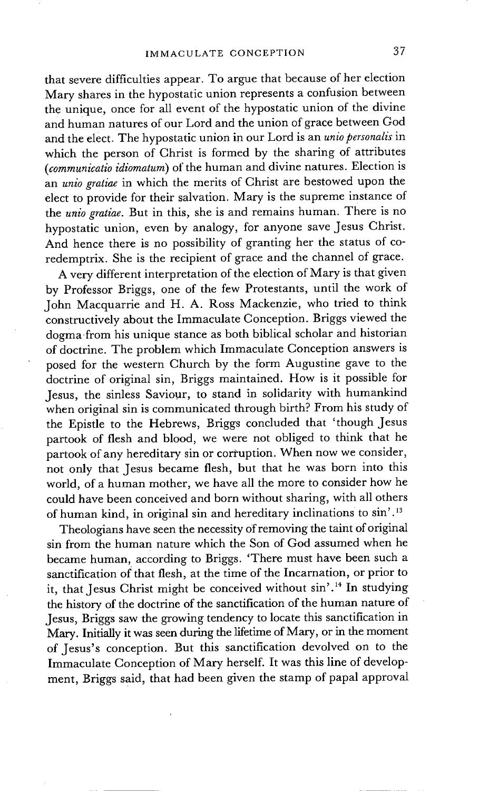that severe difficulties appear. To argue that because of her election Mary shares in the hypostatic union represents a confusion between the unique, once for all event of the hypostatic union of the divine and human natures of our Lord and the union of grace between God and the elect. The hypostatic union in our Lord is an *unio personalis* in which the person of Christ is formed by the sharing of attributes *(communicatio idiomatum)* of the human and divine natures. Election is an *unio gratiae* in which the merits of Christ are bestowed upon the elect to provide for their salvation. Mary is the supreme instance of the *unio gratiae.* But in this, she is and remains human. There is no hypostatic union, even by analogy, for anyone save Jesus Christ. And hence there is no possibility of granting her the status of coredemptrix. She is the recipient of grace and the channel of grace.

A very different interpretation of the election of Mary is that given by Professor Briggs, one of the few Protestants, until the work of John Macquarrie and H. A. Ross Mackenzie, who tried to think constructively about the Immaculate Conception. Briggs viewed the dogma from his unique stance as both biblical scholar and historian of doctrine. The problem which Immaculate Conception answers is posed for the western Church by the form Augustine gave to the doctrine of original sin, Briggs maintained. How is it possible for Jesus, the sinless Saviour, to stand in solidarity with humankind when original sin is communicated through birth? From his study of the Epistle to the Hebrews, Briggs concluded that 'though Jesus partook of flesh and blood, we were not obliged to think that he partook of any hereditary sin or corruption. When now we consider, not only that Jesus became flesh, but that he was born into this world, of a human mother, we have all the more to consider how he could have been conceived and born without sharing, with all others of human kind, in original sin and hereditary inclinations to sin'. 13

Theologians have seen the necessity of removing the taint of original sin from the human nature which the Son of God assumed when he became human, according to Briggs. 'There must have been such a sanctification of that flesh, at the time of the Incarnation, or prior to it, that Jesus Christ might be conceived without sin'.<sup>14</sup> In studying the history of the doctrine of the sanctification of the human nature of Jesus, Briggs saw the growing tendency to locate this sanctification in Mary. Initially it was seen during the lifetime of Mary, or in the moment of Jesus's conception. But this sanctification devolved on to the Immaculate Conception of Mary herself. It was this line of development, Briggs said, that had been given the stamp of papal approval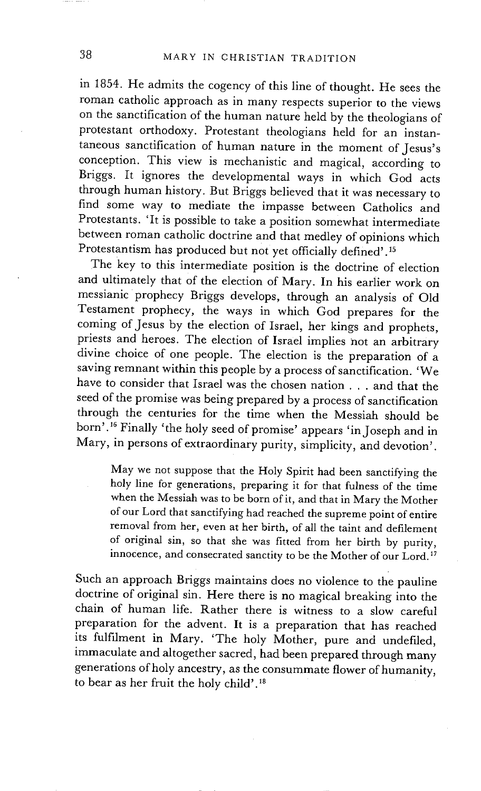in 1854. He admits the cogency of this line of thought. He sees the roman catholic approach as in many respects superior to the views on the sanctification of the human nature held by the theologians of protestant orthodoxy. Protestant theologians held for an instantaneous sanctification of human nature in the moment of Jesus's conception. This view is mechanistic and magical, according to Briggs. It ignores the developmental ways in which God acts through human history. But Briggs believed that it was necessary to find some way to mediate the impasse between Catholics and Protestants. 'It is possible to take a position somewhat intermediate between roman catholic doctrine and that medley of opinions which Protestantism has produced but not yet officially defined'. 15

The key to this intermediate position is the doctrine of election and ultimately that of the election of Mary. In his earlier work on messianic prophecy Briggs develops, through an analysis of Old Testament prophecy, the ways in which God prepares for the coming of Jesus by the election of Israel, her kings and prophets, priests and heroes. The election of Israel implies not an arbitrary divine choice of one people. The election is the preparation of a saving remnant within this people by a process of sanctification. 'We have to consider that Israel was the chosen nation . . . and that the seed of the promise was being prepared by a process of sanctification through the centuries for the time when the Messiah should be born'.16 Finally 'the holy seed of promise' appears 'in Joseph and in Mary, in persons of extraordinary purity, simplicity, and devotion'.

May we not suppose that the Holy Spirit had been sanctifying the holy line for generations, preparing it for that fulness of the time when the Messiah was to be born of it, and that in Mary the Mother of our Lord that sanctifying had reached the supreme point of entire removal from her, even at her birth, of all the taint and defilement of original sin, so that she was fitted from her birth by purity, innocence, and consecrated sanctity to be the Mother of our Lord.17

Such an approach Briggs maintains does no violence to the pauline doctrine of original sin. Here there is no magical breaking into the chain of human life. Rather there is witness to a slow careful preparation for the advent. It is a preparation that has reached its fulfilment in Mary. 'The holy Mother, pure and undefiled, immaculate and altogether sacred, had been prepared through many generations of holy ancestry, as the consummate flower of humanity, to bear as her fruit the holy child'. 18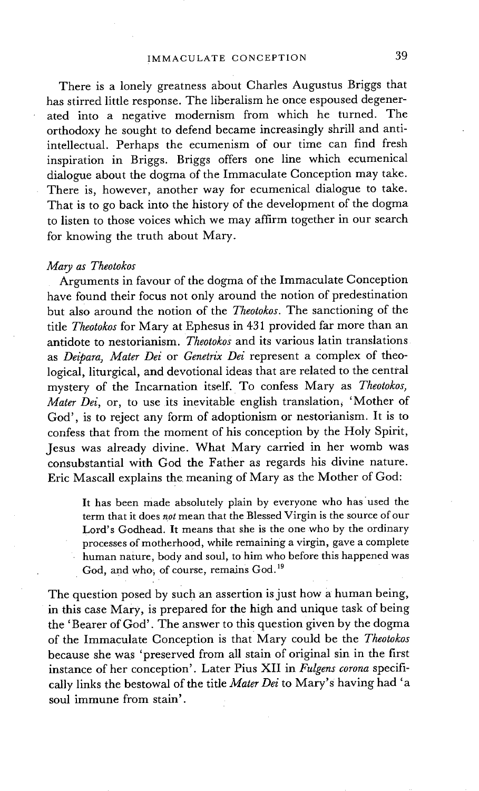There is a lonely greatness about Charles Augustus Briggs that has stirred little response. The liberalism he once espoused degenerated into a negative modernism from which he turned. The orthodoxy he sought to defend became increasingly shrill and antiintellectual. Perhaps the ecumenism of our time can find fresh inspiration in Briggs. Briggs offers one line which ecumenical dialogue about the dogma of the Immaculate Conception may take. There is, however, another way for ecumenical dialogue to take. That is to go back into the history of the development of the dogma to listen to those voices which we may affirm together in our search for knowing the truth about Mary.

#### *Mary as Theotokos*

Arguments in favour of the dogma of the Immaculate Conception have found their focus not only around the notion of predestination but also around the notion of the *Theotokos.* The sanctioning of the title *Theotokos* for Mary at Ephesus in 431 provided far more than an antidote to nestorianism. *Theotokos* and its various latin translations as *Deipara, Mater Dei* or *Genetrix Dei* represent a Complex of theological, liturgical, and devotional ideas that are related to the central mystery of the Incarnation itself. To confess Mary as *Theotokos; Mater Dei, or, to use its inevitable english translation, 'Mother of* God', is to reject any form of adoptionism or nestorianism. It is to confess that from the moment of his conception by the Holy Spirit, Jesus was already divine. What Mary carried in her womb was consubstantial with God the Father as regards his divine nature. Eric Mascall explains the meaning of Mary as the Mother of God:

It has been made absolutely plain by everyone who has used the term that it does *not* mean that the Blessed Virgin is the source of our Lord's Godhead. It means that she is the one who by the ordinary processes of motherhood, while remaining a virgin, gave a complete human nature, body and soul, to him who before this happened was God, and who, of course, remains God.<sup>19</sup>

The question posed by such an assertion is just how a human being, in this case Mary, is prepared for the high and unique task of being the 'Bearer of God'. The answer to this question given by the dogma of the Immaculate Conception is that Mary could be the *Theotokos*  because she was 'preserved from all stain of original sin in the first instance of her conception'. Later Pius XII in *Fulgens corona* specifically links the bestowal of the title *Mater Dei* to Mary's having had 'a soul immune from stain'.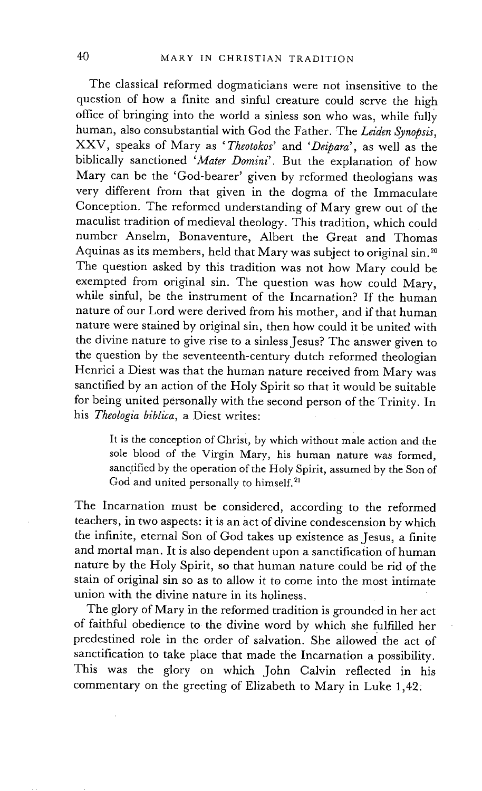The classical reformed dogmaticians were not insensitive to the question of how a finite and sinful creature could serve the high office of bringing into the world a sinless son who was, while fully human, also consubstantial with God the Father. The *Leiden Synopsis,*  XXV, speaks of Mary as *'Theotokos'* and *'Deipara',* as well as the biblically sanctioned *'Mater Domini'.* But the explanation of how Mary can be the "God-bearer' given by reformed theologians was very different from that given in the dogma of the Immaculate Conception. The reformed understanding of Mary grew out of the maculist tradition of medieval theology. This tradition, which could number Anselm, Bonaventure, Albert the Great and Thomas Aquinas as its members, held that Mary was subject to original sin.<sup>20</sup> The question asked by this tradition was not how Mary could be exempted from original sin. The question was how could Mary, while sinful, be the instrument of the Incarnation? If the human nature of our Lord were derived from his mother, and if that human nature were stained by original sin, then how could it be united with the divine nature to give rise to a sinless Jesus? The answer given to the question by the seventeenth-century dutch reformed theologian Henrici a Diest was that the human nature received from Mary was sanctified by an action of the Holy Spirit so that it would be suitable for being united personally with the second person of the Trinity. In his *Theologia biblica,* a Diest writes:

It is the conception of Christ, by which without male action and the sole blood of the Virgin Mary, his human nature was formed, sanctified by the operation of the Holy Spirit, assumed by the Son of God and united personally to himself.<sup>21</sup>

The Incarnation must be considered, according to the reformed teachers, in two aspects: it is an act of divine condescension by which the infinite, eternal Son of God takes up existence as Jesus, a finite and mortal man. It is also dependent upon a sanctification of human nature by the Holy Spirit, so that human nature could be rid of the stain of original sin so as to allow it to come into the most intimate union with the divine nature in its holiness.

The glory of Mary in the reformed tradition is grounded in her act of faithful obedience to the divine word by which she fulfilled her predestined role in the order of salvation. She allowed the act of sanctification to take place that made the Incarnation a possibility. This was the glory on which John Calvin reflected in his commentary on the greeting of Elizabeth to Mary in Luke 1,42: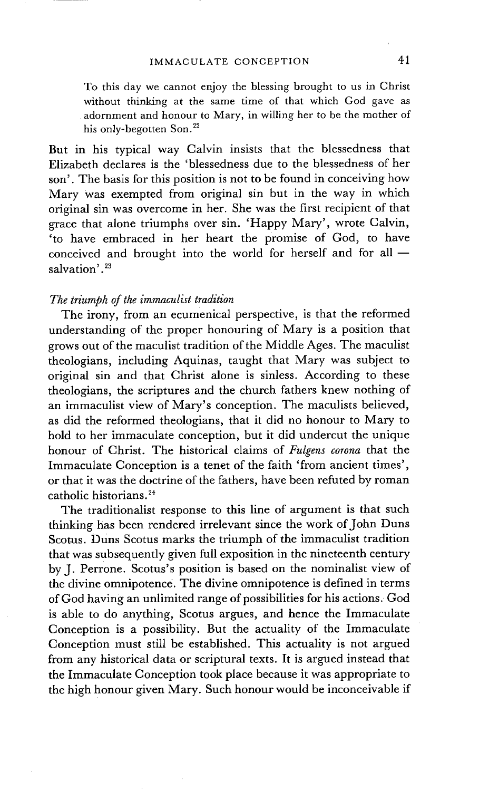To this day we cannot enjoy the blessing brought to us in Christ without thinking at the same time of that which God gave as adornment and honour to Mary, in willing her to be the mother of his only-begotten Son.<sup>22</sup>

But in his typical way Calvin insists that the blessedness that Elizabeth declares is the 'blessedness due to the blessedness of her son'. The basis for this position is not to be found in conceiving how Mary was exempted from original sin but in the way in which original sin was overcome in her. She was the first recipient of that grace that alone triumphs over sin. 'Happy Mary', wrote Calvin, 'to have embraced in her heart the promise of God, to have conceived and brought into the world for herself and for all  $$ salvation'.<sup>23</sup>

## *The triumph of the immaculist tradition*

The irony, from an ecumenical perspective, is that the reformed understanding of the proper honouring of Mary is a position that grows out of the maculist tradition of the Middle Ages. The maculist theologians, including Aquinas, taught that Mary was subject to original sin and that Christ alone is sinless. According to these theologians, the scriptures and the church fathers knew nothing of an immaculist view of Mary's conception. The maculists believed, as did the reformed theologians, that it did no honour to Mary to hold to her immaculate conception, but it did undercut the unique honour of Christ. The historical claims of *Fulgens corona* that the Immaculate Conception is a tenet of the faith 'from ancient times', or that it was the doctrine of the fathers, have been refuted by roman catholic historians. 24

The traditionalist response to this line of argument is that such thinking has been rendered irrelevant since the work of John Duns Scotus. Duns Scotus marks the triumph of the immaculist tradition that was subsequently given full exposition in the nineteenth century by J. Perrone. Scotus's position is based on the nominalist view of the divine omnipotence. The divine omnipotence is defined in terms of God having an unlimited range of possibilities for his actions. God is able to do anything, Scotus argues, and hence the Immaculate Conception is a possibility. But the actuality of the Immaculate Conception must still be established. This actuality is not argued from any historical data or scriptural texts. It is argued instead that the Immaculate Conception took place because it was appropriate to the high honour given Mary. Such honour would be inconceivable if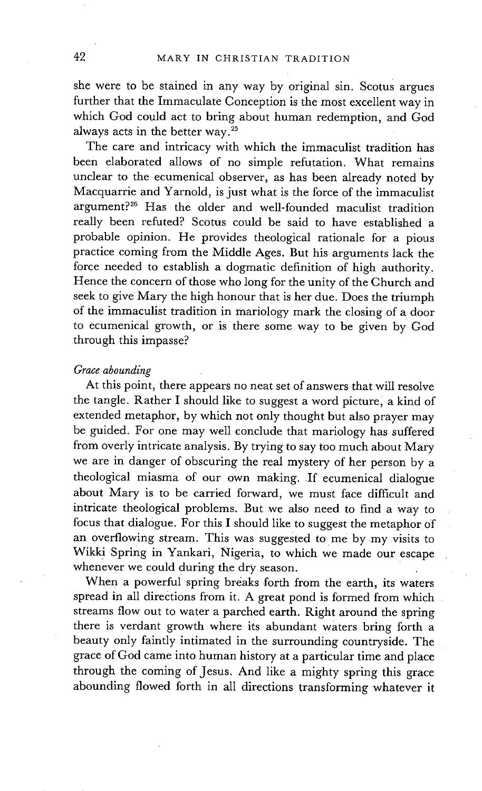she were to be stained in any way by original sin. Scotus argues further that the Immaculate Conception is the most excellent way in which God could act to bring about human redemption, and God always acts in the better way. 25

The care and intricacy with which the immaculist tradition has been elaborated allows of no simple refutation. What remains unclear to the ecumenical observer, as has been already noted by Macquarrie and Yarnold, is just what is the force of the immaculist argument?<sup>26</sup> Has the older and well-founded maculist tradition really been refuted? Scotus could be said to have established a probable opinion. He provides theological rationale for a pious practice coming from the Middle Ages. But his arguments lack the force needed to establish a dogmatic definition of high authority. Hence the concern of those who long for the unity of the Church and seek to give Mary the high honour that is her due. Does the triumph of the immaculist tradition in mariology mark the closing of a door to ecumenical growth, or is there some way to be given by God through this impasse?

### *Grace abounding*

At this point, there appears no neat set of answers that will resolve the tangle. Rather I should like to suggest a word picture, a kind of extended metaphor, by which not only thought but also prayer may be guided. For one may well conclude that mariology has suffered from overly intricate analysis. By trying to say too much about Mary we are in danger of obscuring the real mystery of her person by a theological miasma of our own making. If ecumenical dialogue about Mary is to be carried forward, we must face difficult and intricate theological problems. But we also need to find a way to focus that dialogue. For this I should like to suggest the metaphor of an overflowing stream. This was suggested to me by my visits to Wikki Spring in Yankari, Nigeria, to which we made our escape whenever we could during the dry season.

When a powerful spring breaks forth from the earth, its waters spread in all directions from it. A great pond is formed from which streams flow out to water a parched earth. Right around the spring there is verdant growth where its abundant waters bring forth a beauty only faintly intimated in the surrounding countryside. The grace of God came into human history at a particular time and place through the coming of Jesus. And like a mighty spring this grace abounding flowed forth in all directions transforming whatever it